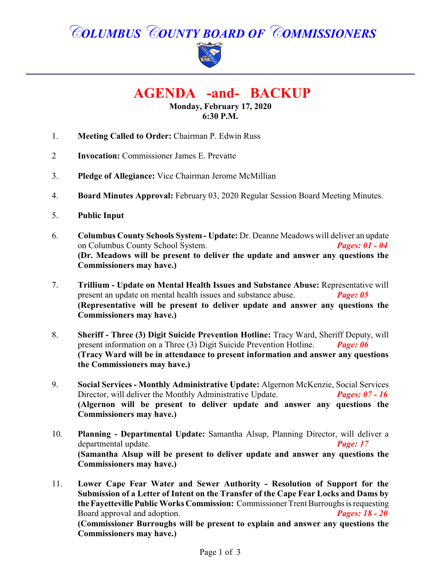# *COLUMBUS COUNTY BOARD OF COMMISSIONERS*



 **AGENDA -and- BACKUP**

**Monday, February 17, 2020 6:30 P.M.**

- 1. **Meeting Called to Order:** Chairman P. Edwin Russ
- 2 **Invocation:** Commissioner James E. Prevatte
- 3. **Pledge of Allegiance:** Vice Chairman Jerome McMillian
- 4. **Board Minutes Approval:** February 03, 2020 Regular Session Board Meeting Minutes.
- 5. **Public Input**
- 6. **Columbus County Schools System Update:** Dr. Deanne Meadows will deliver an update on Columbus County School System. *Pages: 01 - 04* **(Dr. Meadows will be present to deliver the update and answer any questions the Commissioners may have.)**
- 7. **Trillium Update on Mental Health Issues and Substance Abuse:** Representative will present an update on mental health issues and substance abuse. *Page: 05* **(Representative will be present to deliver update and answer any questions the Commissioners may have.)**
- 8. **Sheriff Three (3) Digit Suicide Prevention Hotline:** Tracy Ward, Sheriff Deputy, will present information on a Three (3) Digit Suicide Prevention Hotline. *Page: 06* **(Tracy Ward will be in attendance to present information and answer any questions the Commissioners may have.)**
- 9. **Social Services Monthly Administrative Update:** Algernon McKenzie, Social Services<br>Director, will deliver the Monthly Administrative Update. **Pages: 07 16** Director, will deliver the Monthly Administrative Update. **(Algernon will be present to deliver update and answer any questions the Commissioners may have.)**
- 10. **Planning Departmental Update:** Samantha Alsup, Planning Director, will deliver a departmental update. *Page: 17* **(Samantha Alsup will be present to deliver update and answer any questions the Commissioners may have.)**
- 11. **Lower Cape Fear Water and Sewer Authority Resolution of Support for the Submission of a Letter of Intent on the Transfer of the Cape Fear Locks and Dams by the Fayetteville Public Works Commission:** Commissioner Trent Burroughs is requesting Board approval and adoption. *Pages: 18 - 20* **(Commissioner Burroughs will be present to explain and answer any questions the Commissioners may have.)**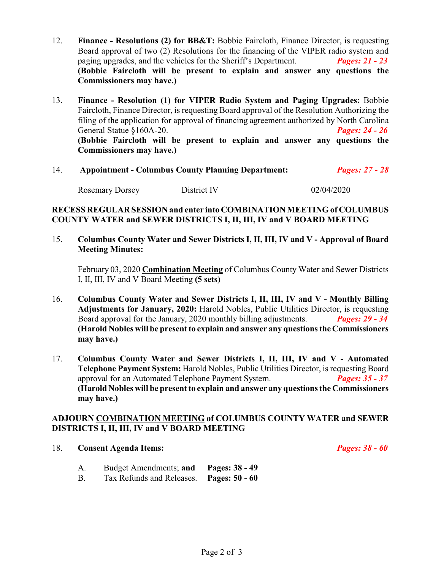- 12. **Finance Resolutions (2) for BB&T:** Bobbie Faircloth, Finance Director, is requesting Board approval of two (2) Resolutions for the financing of the VIPER radio system and paging upgrades, and the vehicles for the Sheriff's Department. *Pages: 21 - 23* **(Bobbie Faircloth will be present to explain and answer any questions the Commissioners may have.)**
- 13. **Finance Resolution (1) for VIPER Radio System and Paging Upgrades:** Bobbie Faircloth, Finance Director, is requesting Board approval of the Resolution Authorizing the filing of the application for approval of financing agreement authorized by North Carolina General Statue §160A-20. *Pages: 24 - 26* **(Bobbie Faircloth will be present to explain and answer any questions the Commissioners may have.)**

| 14. | <b>Appointment - Columbus County Planning Department:</b> |             | <b>Pages: 27 - 28</b> |
|-----|-----------------------------------------------------------|-------------|-----------------------|
|     | <b>Rosemary Dorsey</b>                                    | District IV | 02/04/2020            |

#### **RECESS REGULAR SESSION and enter into COMBINATION MEETING of COLUMBUS COUNTY WATER and SEWER DISTRICTS I, II, III, IV and V BOARD MEETING**

15. **Columbus County Water and Sewer Districts I, II, III, IV and V - Approval of Board Meeting Minutes:**

February 03, 2020 **Combination Meeting** of Columbus County Water and Sewer Districts I, II, III, IV and V Board Meeting **(5 sets)**

- 16. **Columbus County Water and Sewer Districts I, II, III, IV and V Monthly Billing Adjustments for January, 2020:** Harold Nobles, Public Utilities Director, is requesting Board approval for the January, 2020 monthly billing adjustments. *Pages: 29 - 34* **(Harold Nobles will be present to explain and answer any questions the Commissioners may have.)**
- 17. **Columbus County Water and Sewer Districts I, II, III, IV and V - Automated Telephone Payment System:** Harold Nobles, Public Utilities Director, is requesting Board approval for an Automated Telephone Payment System. *Pages: 35 - 37* **(Harold Nobles will be present to explain and answer any questions the Commissioners may have.)**

#### **ADJOURN COMBINATION MEETING of COLUMBUS COUNTY WATER and SEWER DISTRICTS I, II, III, IV and V BOARD MEETING**

#### 18. **Consent Agenda Items:** *Pages: 38 - 60*

- A. Budget Amendments; **and Pages: 38 49**
- B. Tax Refunds and Releases. **Pages: 50 60**